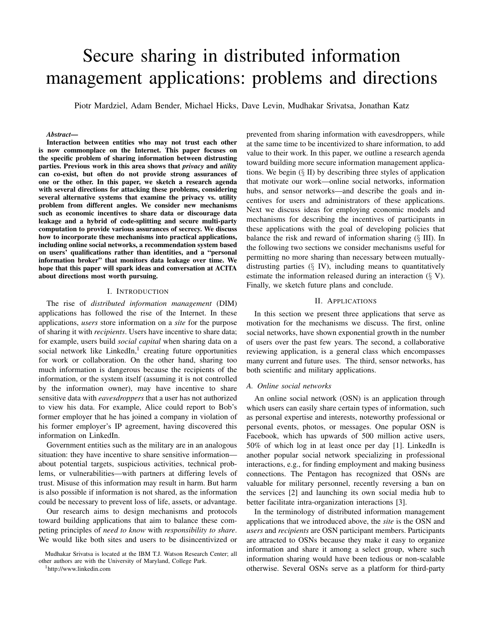# Secure sharing in distributed information management applications: problems and directions

Piotr Mardziel, Adam Bender, Michael Hicks, Dave Levin, Mudhakar Srivatsa, Jonathan Katz

#### *Abstract*—

Interaction between entities who may not trust each other is now commonplace on the Internet. This paper focuses on the specific problem of sharing information between distrusting parties. Previous work in this area shows that *privacy* and *utility* can co-exist, but often do not provide strong assurances of one or the other. In this paper, we sketch a research agenda with several directions for attacking these problems, considering several alternative systems that examine the privacy vs. utility problem from different angles. We consider new mechanisms such as economic incentives to share data or discourage data leakage and a hybrid of code-splitting and secure multi-party computation to provide various assurances of secrecy. We discuss how to incorporate these mechanisms into practical applications, including online social networks, a recommendation system based on users' qualifications rather than identities, and a "personal information broker" that monitors data leakage over time. We hope that this paper will spark ideas and conversation at ACITA about directions most worth pursuing.

#### I. INTRODUCTION

The rise of *distributed information management* (DIM) applications has followed the rise of the Internet. In these applications, *users* store information on a *site* for the purpose of sharing it with *recipients*. Users have incentive to share data; for example, users build *social capital* when sharing data on a social network like  $L$ inkedIn,<sup>1</sup> creating future opportunities for work or collaboration. On the other hand, sharing too much information is dangerous because the recipients of the information, or the system itself (assuming it is not controlled by the information owner), may have incentive to share sensitive data with *eavesdroppers* that a user has not authorized to view his data. For example, Alice could report to Bob's former employer that he has joined a company in violation of his former employer's IP agreement, having discovered this information on LinkedIn.

Government entities such as the military are in an analogous situation: they have incentive to share sensitive information about potential targets, suspicious activities, technical problems, or vulnerabilities—with partners at differing levels of trust. Misuse of this information may result in harm. But harm is also possible if information is not shared, as the information could be necessary to prevent loss of life, assets, or advantage.

Our research aims to design mechanisms and protocols toward building applications that aim to balance these competing principles of *need to know* with *responsibility to share*. We would like both sites and users to be disincentivized or

<sup>1</sup>http://www.linkedin.com

prevented from sharing information with eavesdroppers, while at the same time to be incentivized to share information, to add value to their work. In this paper, we outline a research agenda toward building more secure information management applications. We begin  $(\S \text{II})$  by describing three styles of application that motivate our work—online social networks, information hubs, and sensor networks—and describe the goals and incentives for users and administrators of these applications. Next we discuss ideas for employing economic models and mechanisms for describing the incentives of participants in these applications with the goal of developing policies that balance the risk and reward of information sharing (§ III). In the following two sections we consider mechanisms useful for permitting no more sharing than necessary between mutuallydistrusting parties  $(\S \text{IV})$ , including means to quantitatively estimate the information released during an interaction  $(\S V)$ . Finally, we sketch future plans and conclude.

#### II. APPLICATIONS

In this section we present three applications that serve as motivation for the mechanisms we discuss. The first, online social networks, have shown exponential growth in the number of users over the past few years. The second, a collaborative reviewing application, is a general class which encompasses many current and future uses. The third, sensor networks, has both scientific and military applications.

#### *A. Online social networks*

An online social network (OSN) is an application through which users can easily share certain types of information, such as personal expertise and interests, noteworthy professional or personal events, photos, or messages. One popular OSN is Facebook, which has upwards of 500 million active users, 50% of which log in at least once per day [1]. LinkedIn is another popular social network specializing in professional interactions, e.g., for finding employment and making business connections. The Pentagon has recognized that OSNs are valuable for military personnel, recently reversing a ban on the services [2] and launching its own social media hub to better facilitate intra-organization interactions [3].

In the terminology of distributed information management applications that we introduced above, the *site* is the OSN and *users* and *recipients* are OSN participant members. Participants are attracted to OSNs because they make it easy to organize information and share it among a select group, where such information sharing would have been tedious or non-scalable otherwise. Several OSNs serve as a platform for third-party

Mudhakar Srivatsa is located at the IBM T.J. Watson Research Center; all other authors are with the University of Maryland, College Park.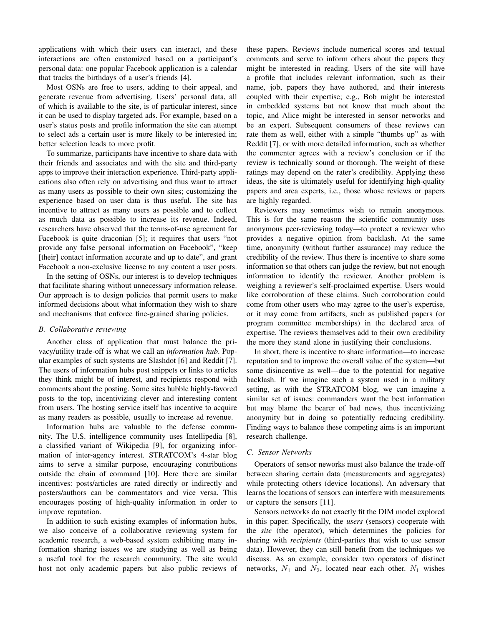applications with which their users can interact, and these interactions are often customized based on a participant's personal data: one popular Facebook application is a calendar that tracks the birthdays of a user's friends [4].

Most OSNs are free to users, adding to their appeal, and generate revenue from advertising. Users' personal data, all of which is available to the site, is of particular interest, since it can be used to display targeted ads. For example, based on a user's status posts and profile information the site can attempt to select ads a certain user is more likely to be interested in; better selection leads to more profit.

To summarize, participants have incentive to share data with their friends and associates and with the site and third-party apps to improve their interaction experience. Third-party applications also often rely on advertising and thus want to attract as many users as possible to their own sites; customizing the experience based on user data is thus useful. The site has incentive to attract as many users as possible and to collect as much data as possible to increase its revenue. Indeed, researchers have observed that the terms-of-use agreement for Facebook is quite draconian [5]; it requires that users "not provide any false personal information on Facebook", "keep [their] contact information accurate and up to date", and grant Facebook a non-exclusive license to any content a user posts.

In the setting of OSNs, our interest is to develop techniques that facilitate sharing without unnecessary information release. Our approach is to design policies that permit users to make informed decisions about what information they wish to share and mechanisms that enforce fine-grained sharing policies.

#### *B. Collaborative reviewing*

Another class of application that must balance the privacy/utility trade-off is what we call an *information hub*. Popular examples of such systems are Slashdot [6] and Reddit [7]. The users of information hubs post snippets or links to articles they think might be of interest, and recipients respond with comments about the posting. Some sites bubble highly-favored posts to the top, incentivizing clever and interesting content from users. The hosting service itself has incentive to acquire as many readers as possible, usually to increase ad revenue.

Information hubs are valuable to the defense community. The U.S. intelligence community uses Intellipedia [8], a classified variant of Wikipedia [9], for organizing information of inter-agency interest. STRATCOM's 4-star blog aims to serve a similar purpose, encouraging contributions outside the chain of command [10]. Here there are similar incentives: posts/articles are rated directly or indirectly and posters/authors can be commentators and vice versa. This encourages posting of high-quality information in order to improve reputation.

In addition to such existing examples of information hubs, we also conceive of a collaborative reviewing system for academic research, a web-based system exhibiting many information sharing issues we are studying as well as being a useful tool for the research community. The site would host not only academic papers but also public reviews of these papers. Reviews include numerical scores and textual comments and serve to inform others about the papers they might be interested in reading. Users of the site will have a profile that includes relevant information, such as their name, job, papers they have authored, and their interests coupled with their expertise; e.g., Bob might be interested in embedded systems but not know that much about the topic, and Alice might be interested in sensor networks and be an expert. Subsequent consumers of these reviews can rate them as well, either with a simple "thumbs up" as with Reddit [7], or with more detailed information, such as whether the commenter agrees with a review's conclusion or if the review is technically sound or thorough. The weight of these ratings may depend on the rater's credibility. Applying these ideas, the site is ultimately useful for identifying high-quality papers and area experts, i.e., those whose reviews or papers are highly regarded.

Reviewers may sometimes wish to remain anonymous. This is for the same reason the scientific community uses anonymous peer-reviewing today—to protect a reviewer who provides a negative opinion from backlash. At the same time, anonymity (without further assurance) may reduce the credibility of the review. Thus there is incentive to share some information so that others can judge the review, but not enough information to identify the reviewer. Another problem is weighing a reviewer's self-proclaimed expertise. Users would like corroboration of these claims. Such corroboration could come from other users who may agree to the user's expertise, or it may come from artifacts, such as published papers (or program committee memberships) in the declared area of expertise. The reviews themselves add to their own credibility the more they stand alone in justifying their conclusions.

In short, there is incentive to share information—to increase reputation and to improve the overall value of the system—but some disincentive as well—due to the potential for negative backlash. If we imagine such a system used in a military setting, as with the STRATCOM blog, we can imagine a similar set of issues: commanders want the best information but may blame the bearer of bad news, thus incentivizing anonymity but in doing so potentially reducing credibility. Finding ways to balance these competing aims is an important research challenge.

## *C. Sensor Networks*

Operators of sensor neworks must also balance the trade-off between sharing certain data (measurements and aggregates) while protecting others (device locations). An adversary that learns the locations of sensors can interfere with measurements or capture the sensors [11].

Sensors networks do not exactly fit the DIM model explored in this paper. Specifically, the *users* (sensors) cooperate with the *site* (the operator), which determines the policies for sharing with *recipients* (third-parties that wish to use sensor data). However, they can still benefit from the techniques we discuss. As an example, consider two operators of distinct networks,  $N_1$  and  $N_2$ , located near each other.  $N_1$  wishes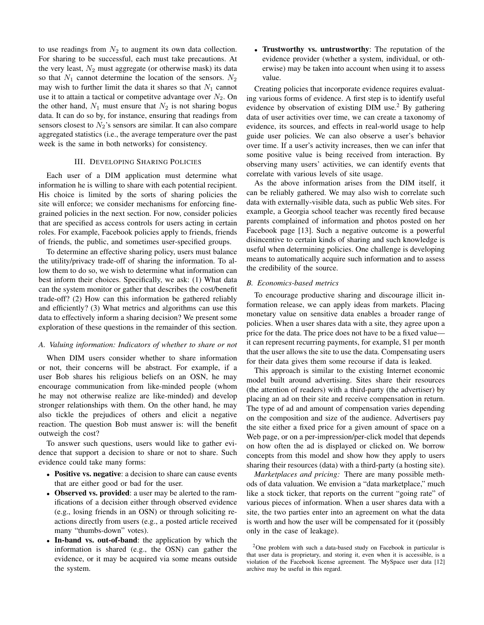to use readings from  $N_2$  to augment its own data collection. For sharing to be successful, each must take precautions. At the very least,  $N_2$  must aggregate (or otherwise mask) its data so that  $N_1$  cannot determine the location of the sensors.  $N_2$ may wish to further limit the data it shares so that  $N_1$  cannot use it to attain a tactical or competitve advantage over  $N_2$ . On the other hand,  $N_1$  must ensure that  $N_2$  is not sharing bogus data. It can do so by, for instance, ensuring that readings from sensors closest to  $N_2$ 's sensors are similar. It can also compare aggregated statistics (i.e., the average temperature over the past week is the same in both networks) for consistency.

## III. DEVELOPING SHARING POLICIES

Each user of a DIM application must determine what information he is willing to share with each potential recipient. His choice is limited by the sorts of sharing policies the site will enforce; we consider mechanisms for enforcing finegrained policies in the next section. For now, consider policies that are specified as access controls for users acting in certain roles. For example, Facebook policies apply to friends, friends of friends, the public, and sometimes user-specified groups.

To determine an effective sharing policy, users must balance the utility/privacy trade-off of sharing the information. To allow them to do so, we wish to determine what information can best inform their choices. Specifically, we ask: (1) What data can the system monitor or gather that describes the cost/benefit trade-off? (2) How can this information be gathered reliably and efficiently? (3) What metrics and algorithms can use this data to effectively inform a sharing decision? We present some exploration of these questions in the remainder of this section.

#### *A. Valuing information: Indicators of whether to share or not*

When DIM users consider whether to share information or not, their concerns will be abstract. For example, if a user Bob shares his religious beliefs on an OSN, he may encourage communication from like-minded people (whom he may not otherwise realize are like-minded) and develop stronger relationships with them. On the other hand, he may also tickle the prejudices of others and elicit a negative reaction. The question Bob must answer is: will the benefit outweigh the cost?

To answer such questions, users would like to gather evidence that support a decision to share or not to share. Such evidence could take many forms:

- Positive vs. negative: a decision to share can cause events that are either good or bad for the user.
- Observed vs. provided: a user may be alerted to the ramifications of a decision either through observed evidence (e.g., losing friends in an OSN) or through soliciting reactions directly from users (e.g., a posted article received many "thumbs-down" votes).
- In-band vs. out-of-band: the application by which the information is shared (e.g., the OSN) can gather the evidence, or it may be acquired via some means outside the system.

• Trustworthy vs. untrustworthy: The reputation of the evidence provider (whether a system, individual, or otherwise) may be taken into account when using it to assess value.

Creating policies that incorporate evidence requires evaluating various forms of evidence. A first step is to identify useful evidence by observation of existing  $DIM$  use.<sup>2</sup> By gathering data of user activities over time, we can create a taxonomy of evidence, its sources, and effects in real-world usage to help guide user policies. We can also observe a user's behavior over time. If a user's activity increases, then we can infer that some positive value is being received from interaction. By observing many users' activities, we can identify events that correlate with various levels of site usage.

As the above information arises from the DIM itself, it can be reliably gathered. We may also wish to correlate such data with externally-visible data, such as public Web sites. For example, a Georgia school teacher was recently fired because parents complained of information and photos posted on her Facebook page [13]. Such a negative outcome is a powerful disincentive to certain kinds of sharing and such knowledge is useful when determining policies. One challenge is developing means to automatically acquire such information and to assess the credibility of the source.

#### *B. Economics-based metrics*

To encourage productive sharing and discourage illicit information release, we can apply ideas from markets. Placing monetary value on sensitive data enables a broader range of policies. When a user shares data with a site, they agree upon a price for the data. The price does not have to be a fixed value it can represent recurring payments, for example, \$1 per month that the user allows the site to use the data. Compensating users for their data gives them some recourse if data is leaked.

This approach is similar to the existing Internet economic model built around advertising. Sites share their resources (the attention of readers) with a third-party (the advertiser) by placing an ad on their site and receive compensation in return. The type of ad and amount of compensation varies depending on the composition and size of the audience. Advertisers pay the site either a fixed price for a given amount of space on a Web page, or on a per-impression/per-click model that depends on how often the ad is displayed or clicked on. We borrow concepts from this model and show how they apply to users sharing their resources (data) with a third-party (a hosting site).

*Marketplaces and pricing:* There are many possible methods of data valuation. We envision a "data marketplace," much like a stock ticker, that reports on the current "going rate" of various pieces of information. When a user shares data with a site, the two parties enter into an agreement on what the data is worth and how the user will be compensated for it (possibly only in the case of leakage).

 $2$ One problem with such a data-based study on Facebook in particular is that user data is proprietary, and storing it, even when it is accessible, is a violation of the Facebook license agreement. The MySpace user data [12] archive may be useful in this regard.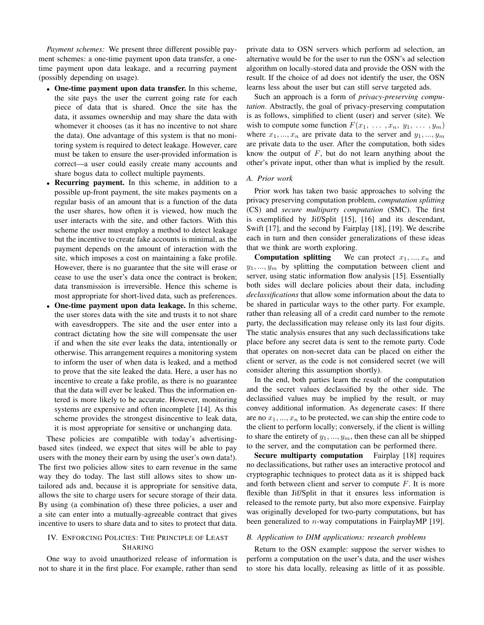*Payment schemes:* We present three different possible payment schemes: a one-time payment upon data transfer, a onetime payment upon data leakage, and a recurring payment (possibly depending on usage).

- One-time payment upon data transfer. In this scheme, the site pays the user the current going rate for each piece of data that is shared. Once the site has the data, it assumes ownership and may share the data with whomever it chooses (as it has no incentive to not share the data). One advantage of this system is that no monitoring system is required to detect leakage. However, care must be taken to ensure the user-provided information is correct—a user could easily create many accounts and share bogus data to collect multiple payments.
- Recurring payment. In this scheme, in addition to a possible up-front payment, the site makes payments on a regular basis of an amount that is a function of the data the user shares, how often it is viewed, how much the user interacts with the site, and other factors. With this scheme the user must employ a method to detect leakage but the incentive to create fake accounts is minimal, as the payment depends on the amount of interaction with the site, which imposes a cost on maintaining a fake profile. However, there is no guarantee that the site will erase or cease to use the user's data once the contract is broken; data transmission is irreversible. Hence this scheme is most appropriate for short-lived data, such as preferences.
- One-time payment upon data leakage. In this scheme, the user stores data with the site and trusts it to not share with eavesdroppers. The site and the user enter into a contract dictating how the site will compensate the user if and when the site ever leaks the data, intentionally or otherwise. This arrangement requires a monitoring system to inform the user of when data is leaked, and a method to prove that the site leaked the data. Here, a user has no incentive to create a fake profile, as there is no guarantee that the data will ever be leaked. Thus the information entered is more likely to be accurate. However, monitoring systems are expensive and often incomplete [14]. As this scheme provides the strongest disincentive to leak data, it is most appropriate for sensitive or unchanging data.

These policies are compatible with today's advertisingbased sites (indeed, we expect that sites will be able to pay users with the money their earn by using the user's own data!). The first two policies allow sites to earn revenue in the same way they do today. The last still allows sites to show untailored ads and, because it is appropriate for sensitive data, allows the site to charge users for secure storage of their data. By using (a combination of) these three policies, a user and a site can enter into a mutually-agreeable contract that gives incentive to users to share data and to sites to protect that data.

# IV. ENFORCING POLICIES: THE PRINCIPLE OF LEAST SHARING

One way to avoid unauthorized release of information is not to share it in the first place. For example, rather than send private data to OSN servers which perform ad selection, an alternative would be for the user to run the OSN's ad selection algorithm on locally-stored data and provide the OSN with the result. If the choice of ad does not identify the user, the OSN learns less about the user but can still serve targeted ads.

Such an approach is a form of *privacy-preserving computation*. Abstractly, the goal of privacy-preserving computation is as follows, simplified to client (user) and server (site). We wish to compute some function  $F(x_1, \ldots, x_n, y_1, \ldots, y_m)$ where  $x_1, ..., x_n$  are private data to the server and  $y_1, ..., y_m$ are private data to the user. After the computation, both sides know the output of  $F$ , but do not learn anything about the other's private input, other than what is implied by the result.

#### *A. Prior work*

Prior work has taken two basic approaches to solving the privacy preserving computation problem, *computation splitting* (CS) and *secure multiparty computation* (SMC). The first is exemplified by Jif/Split [15], [16] and its descendant, Swift [17], and the second by Fairplay [18], [19]. We describe each in turn and then consider generalizations of these ideas that we think are worth exploring.

**Computation splitting** We can protect  $x_1, ..., x_n$  and  $y_1, \ldots, y_m$  by splitting the computation between client and server, using static information flow analysis [15]. Essentially both sides will declare policies about their data, including *declassifications* that allow some information about the data to be shared in particular ways to the other party. For example, rather than releasing all of a credit card number to the remote party, the declassification may release only its last four digits. The static analysis ensures that any such declassifications take place before any secret data is sent to the remote party. Code that operates on non-secret data can be placed on either the client or server, as the code is not considered secret (we will consider altering this assumption shortly).

In the end, both parties learn the result of the computation and the secret values declassified by the other side. The declassified values may be implied by the result, or may convey additional information. As degenerate cases: If there are no  $x_1, \ldots, x_n$  to be protected, we can ship the entire code to the client to perform locally; conversely, if the client is willing to share the entirety of  $y_1, ..., y_m$ , then these can all be shipped to the server, and the computation can be performed there.

Secure multiparty computation Fairplay [18] requires no declassifications, but rather uses an interactive protocol and cryptographic techniques to protect data as it is shipped back and forth between client and server to compute  $F$ . It is more flexible than Jif/Split in that it ensures less information is released to the remote party, but also more expensive. Fairplay was originally developed for two-party computations, but has been generalized to  $n$ -way computations in FairplayMP [19].

## *B. Application to DIM applications: research problems*

Return to the OSN example: suppose the server wishes to perform a computation on the user's data, and the user wishes to store his data locally, releasing as little of it as possible.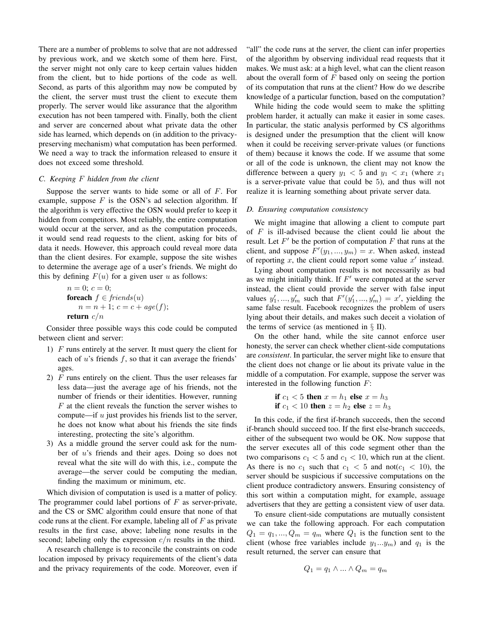There are a number of problems to solve that are not addressed by previous work, and we sketch some of them here. First, the server might not only care to keep certain values hidden from the client, but to hide portions of the code as well. Second, as parts of this algorithm may now be computed by the client, the server must trust the client to execute them properly. The server would like assurance that the algorithm execution has not been tampered with. Finally, both the client and server are concerned about what private data the other side has learned, which depends on (in addition to the privacypreserving mechanism) what computation has been performed. We need a way to track the information released to ensure it does not exceed some threshold.

## *C. Keeping* F *hidden from the client*

Suppose the server wants to hide some or all of  $F$ . For example, suppose  $F$  is the OSN's ad selection algorithm. If the algorithm is very effective the OSN would prefer to keep it hidden from competitors. Most reliably, the entire computation would occur at the server, and as the computation proceeds, it would send read requests to the client, asking for bits of data it needs. However, this approach could reveal more data than the client desires. For example, suppose the site wishes to determine the average age of a user's friends. We might do this by defining  $F(u)$  for a given user u as follows:

$$
n = 0; c = 0;
$$
  
**foreach**  $f \in friends(u)$   
 $n = n + 1; c = c + age(f);$   
**return**  $c/n$ 

Consider three possible ways this code could be computed between client and server:

- 1) F runs entirely at the server. It must query the client for each of  $u$ 's friends  $f$ , so that it can average the friends' ages.
- 2)  $F$  runs entirely on the client. Thus the user releases far less data—just the average age of his friends, not the number of friends or their identities. However, running  $F$  at the client reveals the function the server wishes to compute—if  $u$  just provides his friends list to the server, he does not know what about his friends the site finds interesting, protecting the site's algorithm.
- 3) As a middle ground the server could ask for the number of u's friends and their ages. Doing so does not reveal what the site will do with this, i.e., compute the average—the server could be computing the median, finding the maximum or minimum, etc.

Which division of computation is used is a matter of policy. The programmer could label portions of  $F$  as server-private, and the CS or SMC algorithm could ensure that none of that code runs at the client. For example, labeling all of  $F$  as private results in the first case, above; labeling none results in the second; labeling only the expression  $c/n$  results in the third.

A research challenge is to reconcile the constraints on code location imposed by privacy requirements of the client's data and the privacy requirements of the code. Moreover, even if

"all" the code runs at the server, the client can infer properties of the algorithm by observing individual read requests that it makes. We must ask: at a high level, what can the client reason about the overall form of  $F$  based only on seeing the portion of its computation that runs at the client? How do we describe knowledge of a particular function, based on the computation?

While hiding the code would seem to make the splitting problem harder, it actually can make it easier in some cases. In particular, the static analysis performed by CS algorithms is designed under the presumption that the client will know when it could be receiving server-private values (or functions of them) because it knows the code. If we assume that some or all of the code is unknown, the client may not know the difference between a query  $y_1 < 5$  and  $y_1 < x_1$  (where  $x_1$ is a server-private value that could be 5), and thus will not realize it is learning something about private server data.

#### *D. Ensuring computation consistency*

We might imagine that allowing a client to compute part of  $F$  is ill-advised because the client could lie about the result. Let  $F'$  be the portion of computation  $F$  that runs at the client, and suppose  $F'(y_1, ..., y_m) = x$ . When asked, instead of reporting  $x$ , the client could report some value  $x'$  instead.

Lying about computation results is not necessarily as bad as we might initially think. If  $F'$  were computed at the server instead, the client could provide the server with false input values  $y'_1, ..., y'_m$  such that  $F'(y'_1, ..., y'_m) = x'$ , yielding the same false result. Facebook recognizes the problem of users lying about their details, and makes such deceit a violation of the terms of service (as mentioned in  $\S$  II).

On the other hand, while the site cannot enforce user honesty, the server can check whether client-side computations are *consistent*. In particular, the server might like to ensure that the client does not change or lie about its private value in the middle of a computation. For example, suppose the server was interested in the following function  $F$ :

if 
$$
c_1 < 5
$$
 then  $x = h_1$  else  $x = h_3$   
if  $c_1 < 10$  then  $z = h_2$  else  $z = h_3$ 

In this code, if the first if-branch succeeds, then the second if-branch should succeed too. If the first else-branch succeeds, either of the subsequent two would be OK. Now suppose that the server executes all of this code segment other than the two comparisons  $c_1 < 5$  and  $c_1 < 10$ , which run at the client. As there is no  $c_1$  such that  $c_1 < 5$  and not( $c_1 < 10$ ), the server should be suspicious if successive computations on the client produce contradictory answers. Ensuring consistency of this sort within a computation might, for example, assuage advertisers that they are getting a consistent view of user data.

To ensure client-side computations are mutually consistent we can take the following approach. For each computation  $Q_1 = q_1, ..., Q_m = q_m$  where  $Q_1$  is the function sent to the client (whose free variables include  $y_1...y_m$ ) and  $q_1$  is the result returned, the server can ensure that

$$
Q_1 = q_1 \wedge \ldots \wedge Q_m = q_m
$$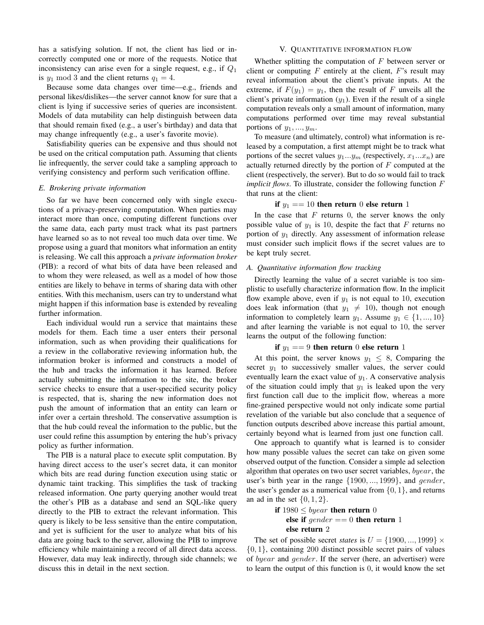has a satisfying solution. If not, the client has lied or incorrectly computed one or more of the requests. Notice that inconsistency can arise even for a single request, e.g., if  $Q_1$ is  $y_1 \mod 3$  and the client returns  $q_1 = 4$ .

Because some data changes over time—e.g., friends and personal likes/dislikes—the server cannot know for sure that a client is lying if successive series of queries are inconsistent. Models of data mutability can help distinguish between data that should remain fixed (e.g., a user's birthday) and data that may change infrequently (e.g., a user's favorite movie).

Satisfiability queries can be expensive and thus should not be used on the critical computation path. Assuming that clients lie infrequently, the server could take a sampling approach to verifying consistency and perform such verification offline.

## *E. Brokering private information*

So far we have been concerned only with single executions of a privacy-preserving computation. When parties may interact more than once, computing different functions over the same data, each party must track what its past partners have learned so as to not reveal too much data over time. We propose using a guard that monitors what information an entity is releasing. We call this approach a *private information broker* (PIB): a record of what bits of data have been released and to whom they were released, as well as a model of how those entities are likely to behave in terms of sharing data with other entities. With this mechanism, users can try to understand what might happen if this information base is extended by revealing further information.

Each individual would run a service that maintains these models for them. Each time a user enters their personal information, such as when providing their qualifications for a review in the collaborative reviewing information hub, the information broker is informed and constructs a model of the hub and tracks the information it has learned. Before actually submitting the information to the site, the broker service checks to ensure that a user-specified security policy is respected, that is, sharing the new information does not push the amount of information that an entity can learn or infer over a certain threshold. The conservative assumption is that the hub could reveal the information to the public, but the user could refine this assumption by entering the hub's privacy policy as further information.

The PIB is a natural place to execute split computation. By having direct access to the user's secret data, it can monitor which bits are read during function execution using static or dynamic taint tracking. This simplifies the task of tracking released information. One party querying another would treat the other's PIB as a database and send an SQL-like query directly to the PIB to extract the relevant information. This query is likely to be less sensitive than the entire computation, and yet is sufficient for the user to analyze what bits of his data are going back to the server, allowing the PIB to improve efficiency while maintaining a record of all direct data access. However, data may leak indirectly, through side channels; we discuss this in detail in the next section.

## V. QUANTITATIVE INFORMATION FLOW

Whether splitting the computation of  $F$  between server or client or computing  $F$  entirely at the client,  $F$ 's result may reveal information about the client's private inputs. At the extreme, if  $F(y_1) = y_1$ , then the result of F unveils all the client's private information  $(y_1)$ . Even if the result of a single computation reveals only a small amount of information, many computations performed over time may reveal substantial portions of  $y_1, \ldots, y_m$ .

To measure (and ultimately, control) what information is released by a computation, a first attempt might be to track what portions of the secret values  $y_1...y_m$  (respectively,  $x_1...x_n$ ) are actually returned directly by the portion of  $F$  computed at the client (respectively, the server). But to do so would fail to track *implicit flows*. To illustrate, consider the following function F that runs at the client:

## if  $y_1 == 10$  then return 0 else return 1

In the case that  $F$  returns 0, the server knows the only possible value of  $y_1$  is 10, despite the fact that F returns no portion of  $y_1$  directly. Any assessment of information release must consider such implicit flows if the secret values are to be kept truly secret.

#### *A. Quantitative information flow tracking*

Directly learning the value of a secret variable is too simplistic to usefully characterize information flow. In the implicit flow example above, even if  $y_1$  is not equal to 10, execution does leak information (that  $y_1 \neq 10$ ), though not enough information to completely learn  $y_1$ . Assume  $y_1 \in \{1, ..., 10\}$ and after learning the variable is not equal to 10, the server learns the output of the following function:

#### if  $y_1 == 9$  then return 0 else return 1

At this point, the server knows  $y_1 \leq 8$ , Comparing the secret  $y_1$  to successively smaller values, the server could eventually learn the exact value of  $y_1$ . A conservative analysis of the situation could imply that  $y_1$  is leaked upon the very first function call due to the implicit flow, whereas a more fine-grained perspective would not only indicate some partial revelation of the variable but also conclude that a sequence of function outputs described above increase this partial amount, certainly beyond what is learned from just one function call.

One approach to quantify what is learned is to consider how many possible values the secret can take on given some observed output of the function. Consider a simple ad selection algorithm that operates on two user secret variables, byear, the user's birth year in the range {1900, ..., 1999}, and gender, the user's gender as a numerical value from  $\{0, 1\}$ , and returns an ad in the set  $\{0, 1, 2\}$ .

# if  $1980 \leq byear$  then return 0 else if  $gender == 0$  then return 1 else return 2

The set of possible secret *states* is  $U = \{1900, ..., 1999\} \times$ {0, 1}, containing 200 distinct possible secret pairs of values of byear and gender. If the server (here, an advertiser) were to learn the output of this function is 0, it would know the set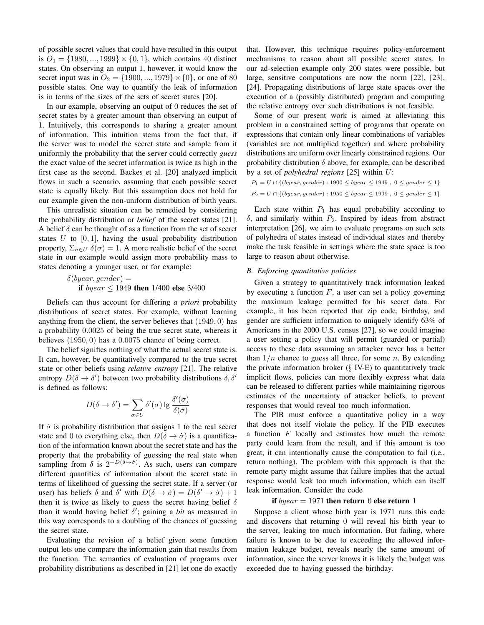of possible secret values that could have resulted in this output is  $O_1 = \{1980, ..., 1999\} \times \{0, 1\}$ , which contains 40 distinct states. On observing an output 1, however, it would know the secret input was in  $O_2 = \{1900, ..., 1979\} \times \{0\}$ , or one of 80 possible states. One way to quantify the leak of information is in terms of the sizes of the sets of secret states [20].

In our example, observing an output of 0 reduces the set of secret states by a greater amount than observing an output of 1. Intuitively, this corresponds to sharing a greater amount of information. This intuition stems from the fact that, if the server was to model the secret state and sample from it uniformly the probability that the server could correctly *guess* the exact value of the secret information is twice as high in the first case as the second. Backes et al. [20] analyzed implicit flows in such a scenario, assuming that each possible secret state is equally likely. But this assumption does not hold for our example given the non-uniform distribution of birth years.

This unrealistic situation can be remedied by considering the probability distribution or *belief* of the secret states [21]. A belief  $\delta$  can be thought of as a function from the set of secret states  $U$  to  $[0, 1]$ , having the usual probability distribution property,  $\Sigma_{\sigma \in U}$   $\delta(\sigma) = 1$ . A more realistic belief of the secret state in our example would assign more probability mass to states denoting a younger user, or for example:

$$
\delta(byear, gender) =
$$
  
**if** *byear*  $\leq$  1949 **then** 1/400 **else** 3/400

Beliefs can thus account for differing *a priori* probability distributions of secret states. For example, without learning anything from the client, the server believes that (1949, 0) has a probability 0.0025 of being the true secret state, whereas it believes (1950, 0) has a 0.0075 chance of being correct.

The belief signifies nothing of what the actual secret state is. It can, however, be quantitatively compared to the true secret state or other beliefs using *relative entropy* [21]. The relative entropy  $D(\delta \to \delta')$  between two probability distributions  $\delta, \delta'$ is defined as follows:

$$
D(\delta \to \delta') = \sum_{\sigma \in U} \delta'(\sigma) \lg \frac{\delta'(\sigma)}{\delta(\sigma)}
$$

If  $\dot{\sigma}$  is probability distribution that assigns 1 to the real secret state and 0 to everything else, then  $D(\delta \rightarrow \dot{\sigma})$  is a quantification of the information known about the secret state and has the property that the probability of guessing the real state when sampling from  $\delta$  is  $2^{-D(\delta \to \dot{\sigma})}$ . As such, users can compare different quantities of information about the secret state in terms of likelihood of guessing the secret state. If a server (or user) has beliefs  $\delta$  and  $\delta'$  with  $D(\delta \to \dot{\sigma}) = D(\delta' \to \dot{\sigma}) + 1$ then it is twice as likely to guess the secret having belief  $\delta$ than it would having belief  $\delta'$ ; gaining a *bit* as measured in this way corresponds to a doubling of the chances of guessing the secret state.

Evaluating the revision of a belief given some function output lets one compare the information gain that results from the function. The semantics of evaluation of programs over probability distributions as described in [21] let one do exactly that. However, this technique requires policy-enforcement mechanisms to reason about all possible secret states. In our ad-selection example only 200 states were possible, but large, sensitive computations are now the norm [22], [23], [24]. Propagating distributions of large state spaces over the execution of a (possibly distributed) program and computing the relative entropy over such distributions is not feasible.

Some of our present work is aimed at alleviating this problem in a constrained setting of programs that operate on expressions that contain only linear combinations of variables (variables are not multiplied together) and where probability distributions are uniform over linearly constrained regions. Our probability distribution  $\delta$  above, for example, can be described by a set of *polyhedral regions* [25] within U:

```
P_1 = U \cap \{(byear, gender): 1900 \le byear \le 1949, 0 \le gender \le 1\}P_2 = U \cap \{(byear, gender): 1950 \le byear \le 1999, 0 \le gender \le 1\}
```
Each state within  $P_1$  has equal probability according to  $\delta$ , and similarly within  $P_2$ . Inspired by ideas from abstract interpretation [26], we aim to evaluate programs on such sets of polyhedra of states instead of individual states and thereby make the task feasible in settings where the state space is too large to reason about otherwise.

#### *B. Enforcing quantitative policies*

Given a strategy to quantitatively track information leaked by executing a function  $F$ , a user can set a policy governing the maximum leakage permitted for his secret data. For example, it has been reported that zip code, birthday, and gender are sufficient information to uniquely identify 63% of Americans in the 2000 U.S. census [27], so we could imagine a user setting a policy that will permit (guarded or partial) access to these data assuming an attacker never has a better than  $1/n$  chance to guess all three, for some n. By extending the private information broker  $(\S$  IV-E) to quantitatively track implicit flows, policies can more flexibly express what data can be released to different parties while maintaining rigorous estimates of the uncertainty of attacker beliefs, to prevent responses that would reveal too much information.

The PIB must enforce a quantitative policy in a way that does not itself violate the policy. If the PIB executes a function  $F$  locally and estimates how much the remote party could learn from the result, and if this amount is too great, it can intentionally cause the computation to fail (i.e., return nothing). The problem with this approach is that the remote party might assume that failure implies that the actual response would leak too much information, which can itself leak information. Consider the code

#### if  $byear = 1971$  then return 0 else return 1

Suppose a client whose birth year is 1971 runs this code and discovers that returning 0 will reveal his birth year to the server, leaking too much information. But failing, where failure is known to be due to exceeding the allowed information leakage budget, reveals nearly the same amount of information, since the server knows it is likely the budget was exceeded due to having guessed the birthday.